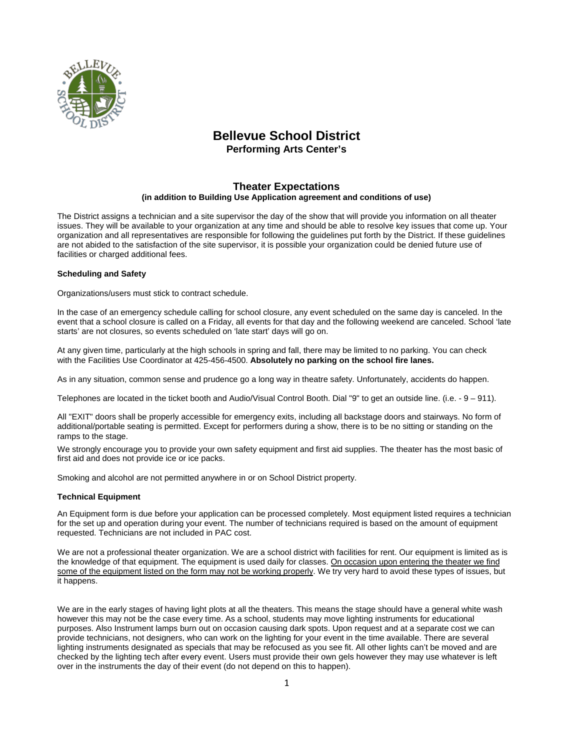

# **Bellevue School District**

**Performing Arts Center's**

## **Theater Expectations (in addition to Building Use Application agreement and conditions of use)**

The District assigns a technician and a site supervisor the day of the show that will provide you information on all theater issues. They will be available to your organization at any time and should be able to resolve key issues that come up. Your organization and all representatives are responsible for following the guidelines put forth by the District. If these guidelines are not abided to the satisfaction of the site supervisor, it is possible your organization could be denied future use of facilities or charged additional fees.

## **Scheduling and Safety**

Organizations/users must stick to contract schedule.

In the case of an emergency schedule calling for school closure, any event scheduled on the same day is canceled. In the event that a school closure is called on a Friday, all events for that day and the following weekend are canceled. School 'late starts' are not closures, so events scheduled on 'late start' days will go on.

At any given time, particularly at the high schools in spring and fall, there may be limited to no parking. You can check with the Facilities Use Coordinator at 425-456-4500. **Absolutely no parking on the school fire lanes.**

As in any situation, common sense and prudence go a long way in theatre safety. Unfortunately, accidents do happen.

Telephones are located in the ticket booth and Audio/Visual Control Booth. Dial "9" to get an outside line. (i.e. - 9 – 911).

All "EXIT" doors shall be properly accessible for emergency exits, including all backstage doors and stairways. No form of additional/portable seating is permitted. Except for performers during a show, there is to be no sitting or standing on the ramps to the stage.

We strongly encourage you to provide your own safety equipment and first aid supplies. The theater has the most basic of first aid and does not provide ice or ice packs.

Smoking and alcohol are not permitted anywhere in or on School District property.

## **Technical Equipment**

An Equipment form is due before your application can be processed completely. Most equipment listed requires a technician for the set up and operation during your event. The number of technicians required is based on the amount of equipment requested. Technicians are not included in PAC cost.

We are not a professional theater organization. We are a school district with facilities for rent. Our equipment is limited as is the knowledge of that equipment. The equipment is used daily for classes. On occasion upon entering the theater we find some of the equipment listed on the form may not be working properly. We try very hard to avoid these types of issues, but it happens.

We are in the early stages of having light plots at all the theaters. This means the stage should have a general white wash however this may not be the case every time. As a school, students may move lighting instruments for educational purposes. Also Instrument lamps burn out on occasion causing dark spots. Upon request and at a separate cost we can provide technicians, not designers, who can work on the lighting for your event in the time available. There are several lighting instruments designated as specials that may be refocused as you see fit. All other lights can't be moved and are checked by the lighting tech after every event. Users must provide their own gels however they may use whatever is left over in the instruments the day of their event (do not depend on this to happen).